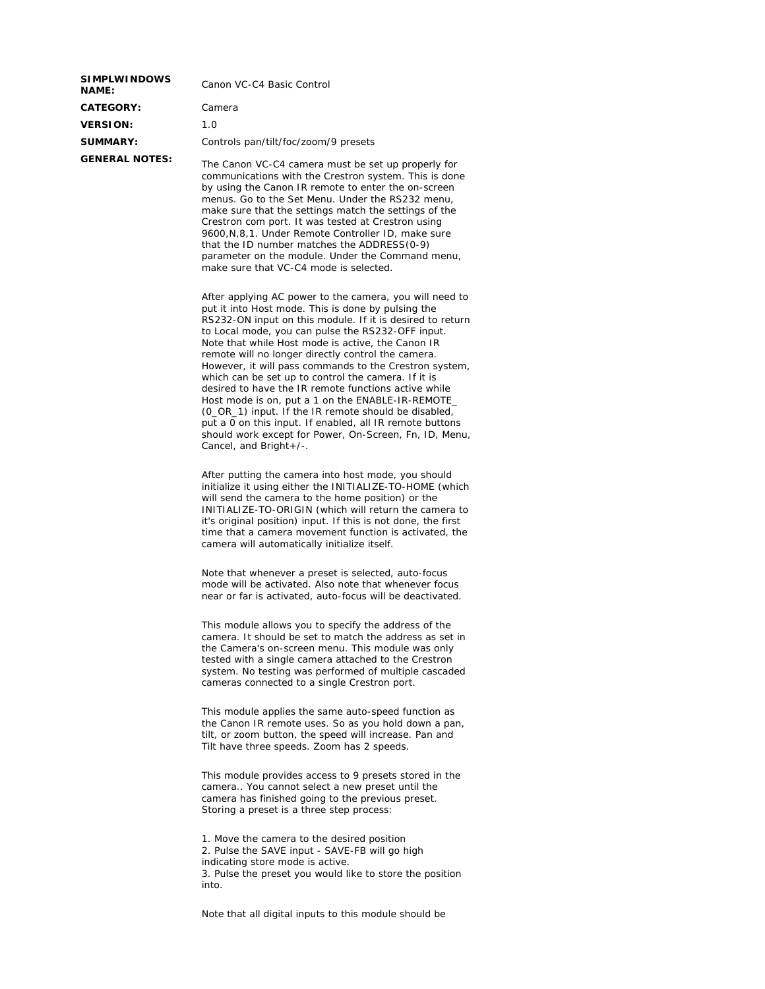| <b>SIMPLWINDOWS</b><br><b>NAME:</b> | Canon VC-C4 Basic Control            |  |
|-------------------------------------|--------------------------------------|--|
| <b>CATEGORY:</b>                    | Camera                               |  |
| <b>VERSION:</b>                     | 1.O                                  |  |
| SUMMARY:                            | Controls pan/tilt/foc/zoom/9 presets |  |
| <b>GENERAL NOTES:</b>               | The Canon VC-C4 camera must be set u |  |

p properly for communications with the Crestron system. This is done by using the Canon IR remote to enter the on-screen menus. Go to the Set Menu. Under the RS232 menu, make sure that the settings match the settings of the Crestron com port. It was tested at Crestron using 9600,N,8,1. Under Remote Controller ID, make sure that the ID number matches the ADDRESS(0-9) parameter on the module. Under the Command menu, make sure that VC-C4 mode is selected.

After applying AC power to the camera, you will need to put it into Host mode. This is done by pulsing the RS232-ON input on this module. If it is desired to return to Local mode, you can pulse the RS232-OFF input. Note that while Host mode is active, the Canon IR remote will no longer directly control the camera. However, it will pass commands to the Crestron system, which can be set up to control the camera. If it is desired to have the IR remote functions active while Host mode is on, put a 1 on the ENABLE-IR-REMOTE\_ (0\_OR\_1) input. If the IR remote should be disabled, put a 0 on this input. If enabled, all IR remote buttons should work except for Power, On-Screen, Fn, ID, Menu, Cancel, and Bright+/-.

After putting the camera into host mode, you should initialize it using either the INITIALIZE-TO-HOME (which will send the camera to the home position) or the INITIALIZE-TO-ORIGIN (which will return the camera to it's original position) input. If this is not done, the first time that a camera movement function is activated, the camera will automatically initialize itself.

Note that whenever a preset is selected, auto-focus mode will be activated. Also note that whenever focus near or far is activated, auto-focus will be deactivated.

This module allows you to specify the address of the camera. It should be set to match the address as set in the Camera's on-screen menu. This module was only tested with a single camera attached to the Crestron system. No testing was performed of multiple cascaded cameras connected to a single Crestron port.

This module applies the same auto-speed function as the Canon IR remote uses. So as you hold down a pan, tilt, or zoom button, the speed will increase. Pan and Tilt have three speeds. Zoom has 2 speeds.

This module provides access to 9 presets stored in the camera.. You cannot select a new preset until the camera has finished going to the previous preset. Storing a preset is a three step process:

1. Move the camera to the desired position 2. Pulse the SAVE input - SAVE-FB will go high indicating store mode is active. 3. Pulse the preset you would like to store the position into.

Note that all digital inputs to this module should be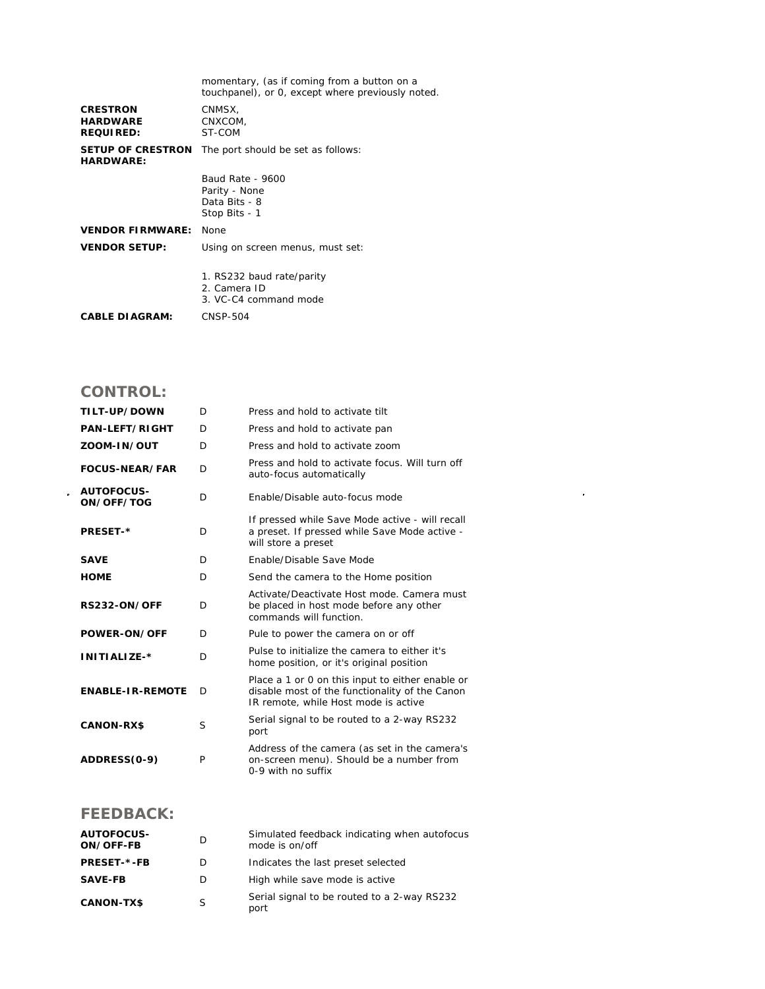|                                                        | momentary, (as if coming from a button on a<br>touchpanel), or 0, except where previously noted. |  |  |  |
|--------------------------------------------------------|--------------------------------------------------------------------------------------------------|--|--|--|
| <b>CRESTRON</b><br><b>HARDWARE</b><br><b>REQUIRED:</b> | CNMSX,<br>CNXCOM,<br>ST-COM                                                                      |  |  |  |
| <b>SETUP OF CRESTRON</b><br><b>HARDWARE:</b>           | The port should be set as follows:                                                               |  |  |  |
|                                                        | Baud Rate - 9600<br>Parity - None<br>Data Bits - 8<br>Stop Bits - 1                              |  |  |  |
| <b>VENDOR FIRMWARE:</b>                                | None                                                                                             |  |  |  |
| <b>VENDOR SETUP:</b>                                   | Using on screen menus, must set:                                                                 |  |  |  |
|                                                        | 1. RS232 baud rate/parity<br>2. Camera ID<br>3. VC-C4 command mode                               |  |  |  |
| <b>CABLE DIAGRAM:</b>                                  | <b>CNSP-504</b>                                                                                  |  |  |  |

## **CONTROL:**

| TILT-UP/DOWN             | D | Press and hold to activate tilt                                                                                                            |
|--------------------------|---|--------------------------------------------------------------------------------------------------------------------------------------------|
| <b>PAN-LEFT/RIGHT</b>    | D | Press and hold to activate pan                                                                                                             |
| ZOOM-IN/OUT              | D | Press and hold to activate zoom                                                                                                            |
| <b>FOCUS-NEAR/FAR</b>    | D | Press and hold to activate focus. Will turn off<br>auto-focus automatically                                                                |
| AUTOFOCUS-<br>ON/OFF/TOG | D | Enable/Disable auto-focus mode                                                                                                             |
| <b>PRESET-*</b>          | D | If pressed while Save Mode active - will recall<br>a preset. If pressed while Save Mode active -<br>will store a preset                    |
| <b>SAVE</b>              | D | Enable/Disable Save Mode                                                                                                                   |
| <b>HOME</b>              | D | Send the camera to the Home position                                                                                                       |
| <b>RS232-ON/OFF</b>      | D | Activate/Deactivate Host mode, Camera must<br>be placed in host mode before any other<br>commands will function.                           |
| <b>POWER-ON/OFF</b>      | D | Pule to power the camera on or off                                                                                                         |
| INITIALIZE-*             | D | Pulse to initialize the camera to either it's<br>home position, or it's original position                                                  |
| <b>ENABLE-IR-REMOTE</b>  | D | Place a 1 or 0 on this input to either enable or<br>disable most of the functionality of the Canon<br>IR remote, while Host mode is active |
| <b>CANON-RX\$</b>        | S | Serial signal to be routed to a 2-way RS232<br>port                                                                                        |
| ADDRESS(0-9)             | P | Address of the camera (as set in the camera's<br>on-screen menu). Should be a number from<br>0-9 with no suffix                            |

 $\mathcal{L}^{\text{max}}_{\text{max}}$  and  $\mathcal{L}^{\text{max}}_{\text{max}}$ 

## **FEEDBACK:**

| <b>AUTOFOCUS-</b><br>ON/OFF-FB | D | Simulated feedback indicating when autofocus<br>mode is on/off |
|--------------------------------|---|----------------------------------------------------------------|
| <b>PRESET-*-FB</b>             | D | Indicates the last preset selected                             |
| <b>SAVE-FB</b>                 | D | High while save mode is active                                 |
| <b>CANON-TX\$</b>              | S | Serial signal to be routed to a 2-way RS232<br>port            |